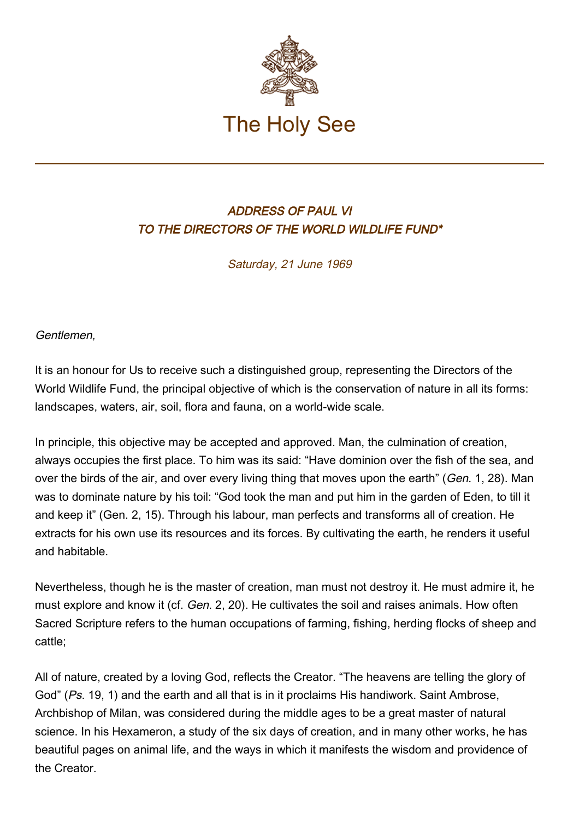

## ADDRESS OF PAUL VI TO THE DIRECTORS OF THE WORLD WILDLIFE FUND\*

Saturday, 21 June 1969

Gentlemen,

It is an honour for Us to receive such a distinguished group, representing the Directors of the World Wildlife Fund, the principal objective of which is the conservation of nature in all its forms: landscapes, waters, air, soil, flora and fauna, on a world-wide scale.

In principle, this objective may be accepted and approved. Man, the culmination of creation, always occupies the first place. To him was its said: "Have dominion over the fish of the sea, and over the birds of the air, and over every living thing that moves upon the earth" (Gen. 1, 28). Man was to dominate nature by his toil: "God took the man and put him in the garden of Eden, to till it and keep it" (Gen. 2, 15). Through his labour, man perfects and transforms all of creation. He extracts for his own use its resources and its forces. By cultivating the earth, he renders it useful and habitable.

Nevertheless, though he is the master of creation, man must not destroy it. He must admire it, he must explore and know it (cf. Gen. 2, 20). He cultivates the soil and raises animals. How often Sacred Scripture refers to the human occupations of farming, fishing, herding flocks of sheep and cattle;

All of nature, created by a loving God, reflects the Creator. "The heavens are telling the glory of God" (Ps. 19, 1) and the earth and all that is in it proclaims His handiwork. Saint Ambrose, Archbishop of Milan, was considered during the middle ages to be a great master of natural science. In his Hexameron, a study of the six days of creation, and in many other works, he has beautiful pages on animal life, and the ways in which it manifests the wisdom and providence of the Creator.